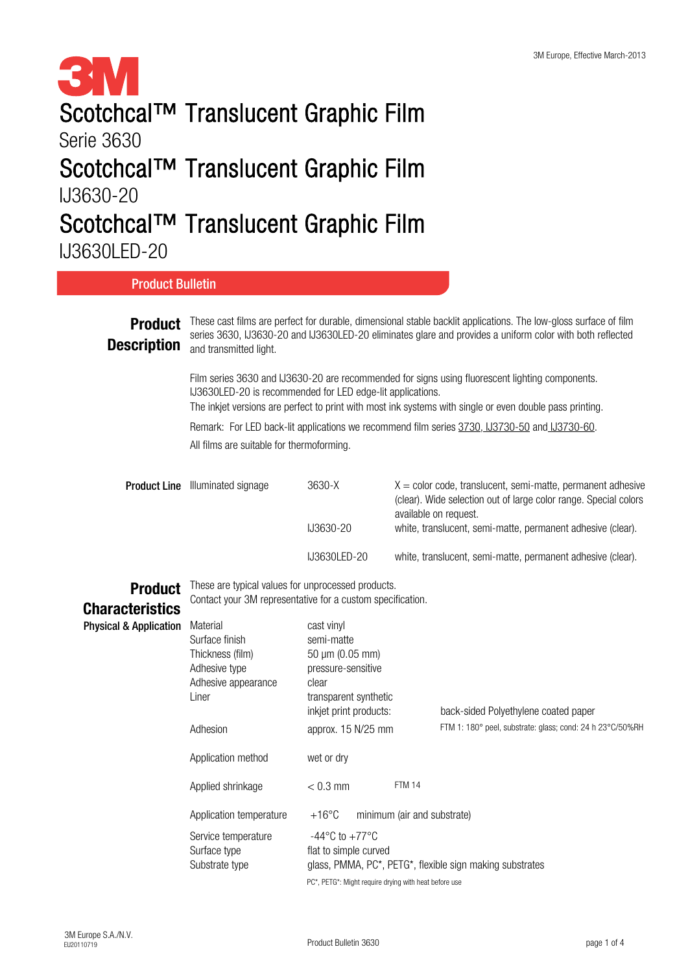#### **SM**<br>Scotchcal™ Translucent Graphic Film Serie 3630 Scotchcal™ Translucent Graphic Film IJ3630-20

#### Scotchcal™ Translucent Graphic Film

IJ3630LED-20

| <b>Product Bulletin</b>              |                                                                                                                                                                                                                                                                                                                                                                                                                                                                                                                                                                                                                                     |                                                |               |                                                                                                                                                            |  |  |  |  |
|--------------------------------------|-------------------------------------------------------------------------------------------------------------------------------------------------------------------------------------------------------------------------------------------------------------------------------------------------------------------------------------------------------------------------------------------------------------------------------------------------------------------------------------------------------------------------------------------------------------------------------------------------------------------------------------|------------------------------------------------|---------------|------------------------------------------------------------------------------------------------------------------------------------------------------------|--|--|--|--|
| <b>Product</b><br><b>Description</b> | These cast films are perfect for durable, dimensional stable backlit applications. The low-gloss surface of film<br>series 3630, IJ3630-20 and IJ3630LED-20 eliminates glare and provides a uniform color with both reflected<br>and transmitted light.<br>Film series 3630 and IJ3630-20 are recommended for signs using fluorescent lighting components.<br>IJ3630LED-20 is recommended for LED edge-lit applications.<br>The inkjet versions are perfect to print with most ink systems with single or even double pass printing.<br>Remark: For LED back-lit applications we recommend film series 3730, U3730-50 and U3730-60. |                                                |               |                                                                                                                                                            |  |  |  |  |
|                                      |                                                                                                                                                                                                                                                                                                                                                                                                                                                                                                                                                                                                                                     |                                                |               |                                                                                                                                                            |  |  |  |  |
|                                      |                                                                                                                                                                                                                                                                                                                                                                                                                                                                                                                                                                                                                                     |                                                |               |                                                                                                                                                            |  |  |  |  |
|                                      | All films are suitable for thermoforming.                                                                                                                                                                                                                                                                                                                                                                                                                                                                                                                                                                                           |                                                |               |                                                                                                                                                            |  |  |  |  |
| <b>Product Line</b>                  | Illuminated signage                                                                                                                                                                                                                                                                                                                                                                                                                                                                                                                                                                                                                 | 3630-X                                         |               | $X =$ color code, translucent, semi-matte, permanent adhesive<br>(clear). Wide selection out of large color range. Special colors<br>available on request. |  |  |  |  |
|                                      |                                                                                                                                                                                                                                                                                                                                                                                                                                                                                                                                                                                                                                     | IJ3630-20                                      |               | white, translucent, semi-matte, permanent adhesive (clear).                                                                                                |  |  |  |  |
|                                      |                                                                                                                                                                                                                                                                                                                                                                                                                                                                                                                                                                                                                                     | IJ3630LED-20                                   |               | white, translucent, semi-matte, permanent adhesive (clear).                                                                                                |  |  |  |  |
| <b>Product</b>                       | These are typical values for unprocessed products.<br>Contact your 3M representative for a custom specification.                                                                                                                                                                                                                                                                                                                                                                                                                                                                                                                    |                                                |               |                                                                                                                                                            |  |  |  |  |
| <b>Characteristics</b>               |                                                                                                                                                                                                                                                                                                                                                                                                                                                                                                                                                                                                                                     |                                                |               |                                                                                                                                                            |  |  |  |  |
| <b>Physical &amp; Application</b>    | Material<br>Surface finish                                                                                                                                                                                                                                                                                                                                                                                                                                                                                                                                                                                                          | cast vinyl<br>semi-matte                       |               |                                                                                                                                                            |  |  |  |  |
|                                      | Thickness (film)                                                                                                                                                                                                                                                                                                                                                                                                                                                                                                                                                                                                                    | 50 µm (0.05 mm)                                |               |                                                                                                                                                            |  |  |  |  |
|                                      | Adhesive type                                                                                                                                                                                                                                                                                                                                                                                                                                                                                                                                                                                                                       | pressure-sensitive                             |               |                                                                                                                                                            |  |  |  |  |
|                                      | Adhesive appearance                                                                                                                                                                                                                                                                                                                                                                                                                                                                                                                                                                                                                 | clear                                          |               |                                                                                                                                                            |  |  |  |  |
|                                      | Liner                                                                                                                                                                                                                                                                                                                                                                                                                                                                                                                                                                                                                               | transparent synthetic                          |               |                                                                                                                                                            |  |  |  |  |
|                                      | Adhesion                                                                                                                                                                                                                                                                                                                                                                                                                                                                                                                                                                                                                            | inkjet print products:                         |               | back-sided Polyethylene coated paper<br>FTM 1: 180° peel, substrate: glass; cond: 24 h 23°C/50%RH                                                          |  |  |  |  |
|                                      |                                                                                                                                                                                                                                                                                                                                                                                                                                                                                                                                                                                                                                     | approx. 15 N/25 mm                             |               |                                                                                                                                                            |  |  |  |  |
|                                      | Application method                                                                                                                                                                                                                                                                                                                                                                                                                                                                                                                                                                                                                  | wet or dry                                     |               |                                                                                                                                                            |  |  |  |  |
|                                      | Applied shrinkage                                                                                                                                                                                                                                                                                                                                                                                                                                                                                                                                                                                                                   | $< 0.3$ mm                                     | <b>FTM 14</b> |                                                                                                                                                            |  |  |  |  |
|                                      | Application temperature                                                                                                                                                                                                                                                                                                                                                                                                                                                                                                                                                                                                             | $+16^{\circ}$ C<br>minimum (air and substrate) |               |                                                                                                                                                            |  |  |  |  |
|                                      | -44°C to $+77$ °C<br>Service temperature                                                                                                                                                                                                                                                                                                                                                                                                                                                                                                                                                                                            |                                                |               |                                                                                                                                                            |  |  |  |  |
|                                      | Surface type<br>flat to simple curved<br>Substrate type<br>glass, PMMA, PC*, PETG*, flexible sign making substrates                                                                                                                                                                                                                                                                                                                                                                                                                                                                                                                 |                                                |               |                                                                                                                                                            |  |  |  |  |
|                                      |                                                                                                                                                                                                                                                                                                                                                                                                                                                                                                                                                                                                                                     |                                                |               |                                                                                                                                                            |  |  |  |  |
|                                      | PC*, PETG*: Might require drying with heat before use                                                                                                                                                                                                                                                                                                                                                                                                                                                                                                                                                                               |                                                |               |                                                                                                                                                            |  |  |  |  |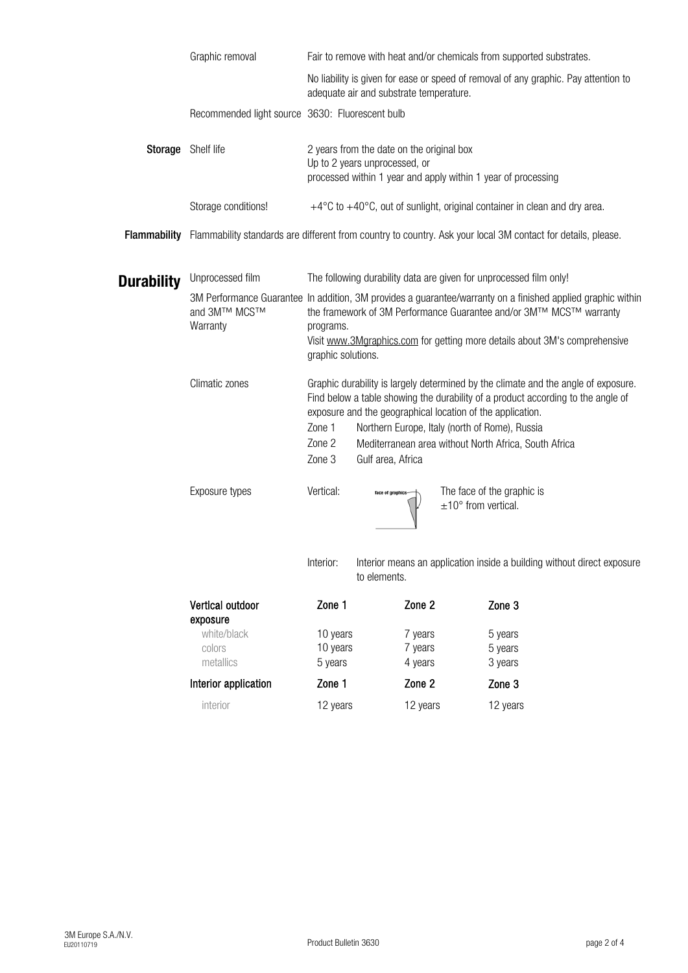|                     | Graphic removal<br>Fair to remove with heat and/or chemicals from supported substrates. |                                                                                                                                                                                                                                                                                                                                                                                                    |                                                                           |          |  |  |
|---------------------|-----------------------------------------------------------------------------------------|----------------------------------------------------------------------------------------------------------------------------------------------------------------------------------------------------------------------------------------------------------------------------------------------------------------------------------------------------------------------------------------------------|---------------------------------------------------------------------------|----------|--|--|
|                     |                                                                                         | No liability is given for ease or speed of removal of any graphic. Pay attention to<br>adequate air and substrate temperature.                                                                                                                                                                                                                                                                     |                                                                           |          |  |  |
|                     | Recommended light source 3630: Fluorescent bulb                                         |                                                                                                                                                                                                                                                                                                                                                                                                    |                                                                           |          |  |  |
| Storage             | Shelf life                                                                              | 2 years from the date on the original box<br>Up to 2 years unprocessed, or<br>processed within 1 year and apply within 1 year of processing                                                                                                                                                                                                                                                        |                                                                           |          |  |  |
|                     | Storage conditions!                                                                     |                                                                                                                                                                                                                                                                                                                                                                                                    | +4°C to +40°C, out of sunlight, original container in clean and dry area. |          |  |  |
| <b>Flammability</b> |                                                                                         | Flammability standards are different from country to country. Ask your local 3M contact for details, please.                                                                                                                                                                                                                                                                                       |                                                                           |          |  |  |
| <b>Durability</b>   | Unprocessed film                                                                        | The following durability data are given for unprocessed film only!                                                                                                                                                                                                                                                                                                                                 |                                                                           |          |  |  |
|                     | and 3M™ MCS™<br>Warranty                                                                | 3M Performance Guarantee In addition, 3M provides a guarantee/warranty on a finished applied graphic within<br>the framework of 3M Performance Guarantee and/or 3M™ MCS™ warranty<br>programs.<br>Visit www.3Mgraphics.com for getting more details about 3M's comprehensive<br>graphic solutions.                                                                                                 |                                                                           |          |  |  |
|                     | Climatic zones                                                                          | Graphic durability is largely determined by the climate and the angle of exposure.<br>Find below a table showing the durability of a product according to the angle of<br>exposure and the geographical location of the application.<br>Zone 1<br>Northern Europe, Italy (north of Rome), Russia<br>Zone 2<br>Mediterranean area without North Africa, South Africa<br>Zone 3<br>Gulf area, Africa |                                                                           |          |  |  |
|                     | Exposure types                                                                          | Vertical:<br>The face of the graphic is<br>face of graphics<br>$\pm 10^{\circ}$ from vertical.<br>Interior:<br>Interior means an application inside a building without direct exposure<br>to elements.                                                                                                                                                                                             |                                                                           |          |  |  |
|                     |                                                                                         |                                                                                                                                                                                                                                                                                                                                                                                                    |                                                                           |          |  |  |
|                     | Vertical outdoor<br>exposure                                                            | Zone 1                                                                                                                                                                                                                                                                                                                                                                                             | Zone 2                                                                    | Zone 3   |  |  |
|                     | white/black                                                                             | 10 years                                                                                                                                                                                                                                                                                                                                                                                           | 7 years                                                                   | 5 years  |  |  |
|                     | colors                                                                                  | 10 years                                                                                                                                                                                                                                                                                                                                                                                           | 7 years                                                                   | 5 years  |  |  |
|                     | metallics                                                                               | 5 years                                                                                                                                                                                                                                                                                                                                                                                            | 4 years                                                                   | 3 years  |  |  |
|                     | Interior application                                                                    | Zone 1                                                                                                                                                                                                                                                                                                                                                                                             | Zone 2                                                                    | Zone 3   |  |  |
|                     | interior                                                                                | 12 years                                                                                                                                                                                                                                                                                                                                                                                           | 12 years                                                                  | 12 years |  |  |
|                     |                                                                                         |                                                                                                                                                                                                                                                                                                                                                                                                    |                                                                           |          |  |  |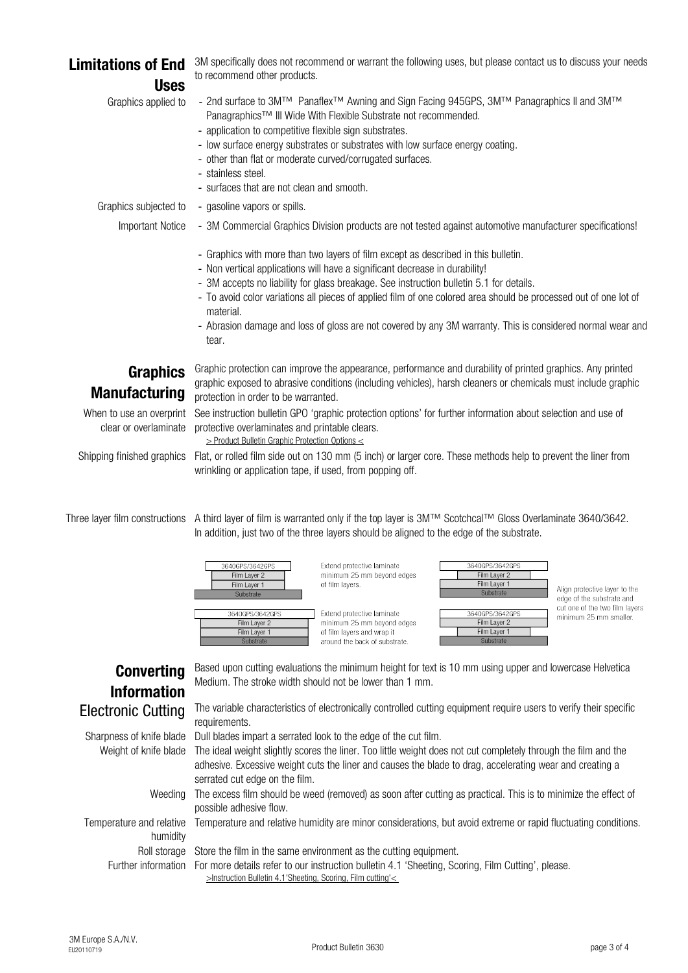Graphics subjected to - - gasoline vapors or spills.

Important Notice - 3M Commercial Graphics Division products are not tested against automotive manufacturer specifications!

# Limitations of End Uses

Graphics applied to -

## Graphics Manufacturing

Temperature and relative Temperature and relative humidity are minor considerations, but avoid extreme or rapid fluctuating conditions. humidity

Roll storage Store the film in the same environment as the cutting equipment.

Further information For more details refer to our instruction bulletin 4.1 'Sheeting, Scoring, Film Cutting', please.

- 2nd surface to 3M™ Panaflex<sup>™</sup> Awning and Sign Facing 945GPS, 3M™ Panagraphics II and 3M™ Panagraphics™ III Wide With Flexible Substrate not recommended.
	- application to competitive flexible sign substrates.
	- low surface energy substrates or substrates with low surface energy coating.
	- other than flat or moderate curved/corrugated surfaces.
	- stainless steel.
	- surfaces that are not clean and smooth.

## Converting Information

Electronic Cutting

Shipping finished graphics Flat, or rolled film side out on 130 mm (5 inch) or larger core. These methods help to prevent the liner from wrinkling or application tape, if used, from popping off.

Three layer film constructions A third layer of film is warranted only if the top layer is 3M™ Scotchcal™ Gloss Overlaminate 3640/3642. In addition, just two of the three layers should be aligned to the edge of the substrate.

| 3640GPS/3642GPS<br>Film Layer 2<br>Film Layer 1<br>Substrate | Extend protective laminate<br>minimum 25 mm beyond edges<br>of film layers. | 3640GPS/3642GPS<br>Film Layer 2<br>Film Layer 1<br>Substrate | Align protective layer to the<br>edge of the substrate and |  |
|--------------------------------------------------------------|-----------------------------------------------------------------------------|--------------------------------------------------------------|------------------------------------------------------------|--|
| 3640GPS/3642GPS<br>Film Layer 2                              | Extend protective laminate<br>minimum 25 mm beyond edges                    | 3640GPS/3642GPS<br>Film Layer 2                              | cut one of the two film layers<br>minimum 25 mm smaller.   |  |
| Film Layer 1<br>Substrate                                    | of film layers and wrap it<br>around the back of substrate.                 | Film Layer 1<br>Substrate                                    |                                                            |  |

3M specifically does not recommend or warrant the following uses, but please contact us to discuss your needs to recommend other products.

Sharpness of knife blade Dull blades impart a serrated look to the edge of the cut film.

- Graphics with more than two layers of film except as described in this bulletin.
- Non vertical applications will have a significant decrease in durability!
- 3M accepts no liability for glass breakage. See instruction bulletin 5.1 for details.
- To avoid color variations all pieces of applied film of one colored area should be processed out of one lot of material.
- Abrasion damage and loss of gloss are not covered by any 3M warranty. This is considered normal wear and tear.

When to use an overprint See instruction bulletin GPO 'graphic protection options' for further information about selection and use of clear or overlaminate protective overlaminates and printable clears.

- Weight of knife blade The ideal weight slightly scores the liner. Too little weight does not cut completely through the film and the adhesive. Excessive weight cuts the liner and causes the blade to drag, accelerating wear and creating a serrated cut edge on the film.
	- Weeding The excess film should be weed (removed) as soon after cutting as practical. This is to minimize the effect of possible adhesive flow.

Based upon cutting evaluations the minimum height for text is 10 mm using upper and lowercase Helvetica Medium. The stroke width should not be lower than 1 mm.

The variable characteristics of electronically controlled cutting equipment require users to verify their specific requirements.

Graphic protection can improve the appearance, performance and durability of printed graphics. Any printed graphic exposed to abrasive conditions (including vehicles), harsh cleaners or chemicals must include graphic protection in order to be warranted.

[> Product Bulletin Graphic Protection Options <](http://multimedia.3m.com/mws/mediawebserver?mwsId=SSSSSufSevTsZxtUO82xPY_1evUqevTSevTSevTSeSSSSSS--)

[>Instruction Bulletin 4.1'Sheeting, Scoring, Film cutting'<](http://multimedia.mmm.com/mws/mediawebserver.dyn?6666660Zjcf6lVs6EVs666TtiCOrrrrQ-)